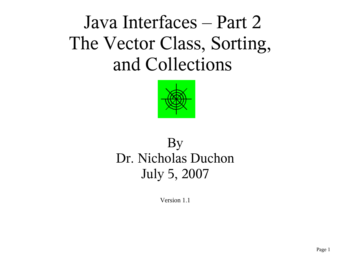Java Interfaces – Part 2 The Vector Class, Sorting, and Collections



# By Dr. Nicholas Duchon July 5, 2007

Version 1.1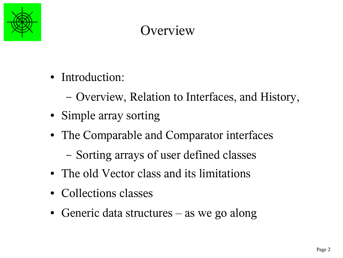

# **Overview**

- Introduction:
	- Overview, Relation to Interfaces, and History,
- Simple array sorting
- The Comparable and Comparator interfaces
	- Sorting arrays of user defined classes
- The old Vector class and its limitations
- Collections classes
- Generic data structures  $-$  as we go along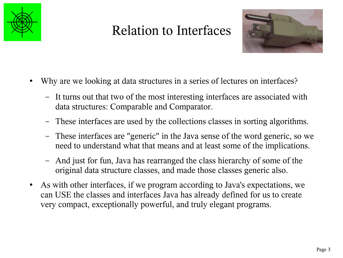

# Relation to Interfaces



- Why are we looking at data structures in a series of lectures on interfaces?
	- It turns out that two of the most interesting interfaces are associated with data structures: Comparable and Comparator.
	- These interfaces are used by the collections classes in sorting algorithms.
	- These interfaces are "generic" in the Java sense of the word generic, so we need to understand what that means and at least some of the implications.
	- And just for fun, Java has rearranged the class hierarchy of some of the original data structure classes, and made those classes generic also.
- As with other interfaces, if we program according to Java's expectations, we can USE the classes and interfaces Java has already defined for us to create very compact, exceptionally powerful, and truly elegant programs.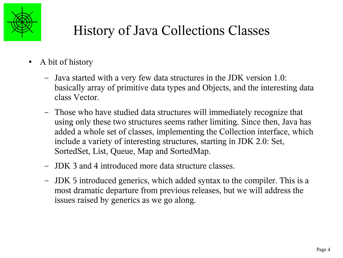

# History of Java Collections Classes

- A bit of history
	- Java started with a very few data structures in the JDK version 1.0: basically array of primitive data types and Objects, and the interesting data class Vector.
	- Those who have studied data structures will immediately recognize that using only these two structures seems rather limiting. Since then, Java has added a whole set of classes, implementing the Collection interface, which include a variety of interesting structures, starting in JDK 2.0: Set, SortedSet, List, Queue, Map and SortedMap.
	- JDK 3 and 4 introduced more data structure classes.
	- JDK 5 introduced generics, which added syntax to the compiler. This is a most dramatic departure from previous releases, but we will address the issues raised by generics as we go along.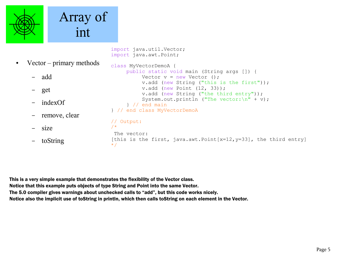

# Array of int

```
import java.util.Vector;
import java.awt.Point;
```
• Vector – primary methods – add – get – indexOf – remove, clear – size – toString class MyVectorDemoA { public static void main (String args []) { Vector  $v = new Vector$  (); v.add (new String ("this is the first")); v.add (new Point (12, 33)); v.add (new String ("the third entry")); System.out.println ("The vector: $\ln$ " + v); } // end main } // end class MyVectorDemoA // Output: /\* The vector: [this is the first, java.awt.Point[x=12, y=33], the third entry] \*/

This is a very simple example that demonstrates the flexibility of the Vector class. Notice that this example puts objects of type String and Point into the same Vector. The 5.0 compiler gives warnings about unchecked calls to "add", but this code works nicely. Notice also the implicit use of toString in println, which then calls toString on each element in the Vector.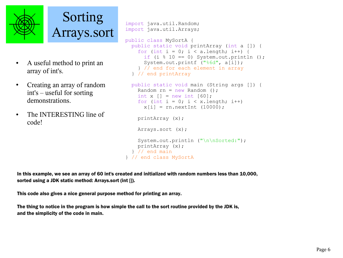

Sorting Arrays.sort

- A useful method to print an array of int's.
- Creating an array of random int's – useful for sorting demonstrations.
- The INTERESTING line of code!

```
import java.util.Random;
import java.util.Arrays;
public class MySortA {
   public static void printArray (int a []) {
    for (int i = 0; i < a.length; i++) {
      if (i % = 0) System.out.println ();
      System.out.printf ("%6d", a[i]);
     } // end for each element in array
   } // end printArray
  public static void main (String args []) {
    Random rn = new Random():
    int x \mid = new int [60];
    for (int i = 0; i < x. length; i^{++})
      x[i] = rn.nextInt (10000); printArray (x);
     Arrays.sort (x);
    System.out.println ("\n\nSorted:");
     printArray (x);
   } // end main
} // end class MySortA
```
In this example, we see an array of 60 int's created and initialized with random numbers less than 10,000, sorted using a JDK static method: Arrays.sort (int []).

This code also gives a nice general purpose method for printing an array.

The thing to notice in the program is how simple the call to the sort routine provided by the JDK is, and the simplicity of the code in main.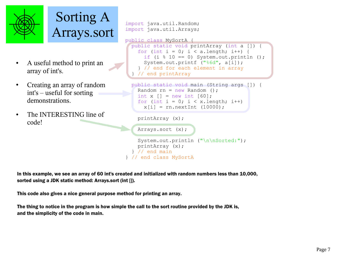



- A useful method to print an array of int's.
- Creating an array of random int's – useful for sorting demonstrations.
- The INTERESTING line of code!

```
import java.util.Random;
import java.util.Arrays;
```

```
public class MySortA {
   public static void printArray (int a []) {
    for (int i = 0; i < a.length; i++) {
      if (i % 10 == 0) System.out.println ();
      System.out.printf ("%6d", a[i]);
     } // end for each element in array
   // end printArray
```

```
 public static void main (String args []) {
  Random rn = new Random():
 int x \mid = new int [60];
 for (int i = 0; i < x. length; i^{++})
    x[i] = rn.nextInt (10000);
```
printArray (x);

Arrays.sort (x);

```
System.out.println ("\n\nSorted:");
    printArray (x);
   } // end main
} // end class MySortA
```
In this example, we see an array of 60 int's created and initialized with random numbers less than 10,000, sorted using a JDK static method: Arrays.sort (int []).

This code also gives a nice general purpose method for printing an array.

The thing to notice in the program is how simple the call to the sort routine provided by the JDK is, and the simplicity of the code in main.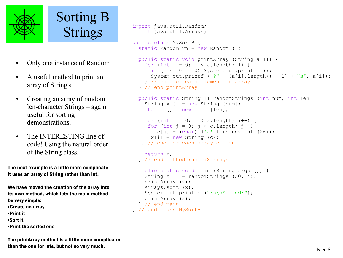

Sorting B Strings

- Only one instance of Random
- A useful method to print an array of String's.
- Creating an array of random len-character Strings – again useful for sorting demonstrations.
- The INTERESTING line of code! Using the natural order of the String class.

The next example is a little more complicate it uses an array of String rather than int.

We have moved the creation of the array into its own method, which lets the main method be very simple: ●Create an array ●Print it ●Sort it ●Print the sorted one

The printArray method is a little more complicated than the one for ints, but not so very much.

```
import java.util.Random;
import java.util.Arrays;
public class MySortB {
  static Random rn = new Random();
   public static void printArray (String a []) {
    for (int i = 0; i < a.length; i++) {
      if (i \text{\textdegree} 10 == 0) System.out.println ();
      System.out.printf ("%" + (a[i].length() + 1) + "s", a[i]); } // end for each element in array
   } // end printArray
   public static String [] randomStrings (int num, int len) {
    String x \mid \cdot \mid = new String \mid num \};
    char c \lceil \rceil = new char \lceil \cdot \rceil:
    for (int i = 0; i < x.length; i++) {
     for (int j = 0; j < c. length; j++)c[j] = (char) ('a' + rn.nextInt (26));x[i] = new String (c);
    } // end for each array element
     return x;
   } // end method randomStrings
   public static void main (String args []) {
    String x [] = randomStrings (50, 4);
     printArray (x);
     Arrays.sort (x);
    System.out.println ("\n\nSorted:");
     printArray (x);
   } // end main
} // end class MySortB
```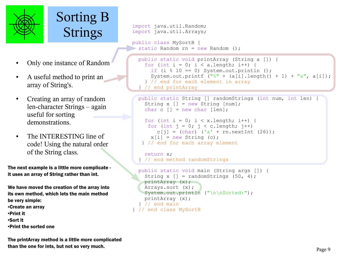

# Sorting B Strings

- Only one instance of Random
- A useful method to print an array of String's.
- Creating an array of random len-character Strings – again useful for sorting demonstrations.
- The INTERESTING line of code! Using the natural order of the String class.

The next example is a little more complicate it uses an array of String rather than int.

We have moved the creation of the array into its own method, which lets the main method be very simple: ●Create an array ●Print it ●Sort it ●Print the sorted one

The printArray method is a little more complicated than the one for ints, but not so very much.

```
import java.util.Random;
import java.util.Arrays;
```
t

```
public class MySortB {
 static Random rn = new Random();
```

```
 public static void printArray (String a []) {
  for (int i = 0; i < a.length; i++) {
    if (i \text{\textdegree} 10 == 0) System.out.println ();
    System.out.printf (\mathbf{u}^s + \{a[i], \text{length}\}) + 1 + \mathbf{v}^s, a[i]\};
   } // end for each element in array
 } // end printArray
```

```
 public static String [] randomStrings (int num, int len) {
  String x \mid \cdot \mid = new String \mid num \};
  char c \lceil \rceil = new char \lceil \cdot \rceil:
  for (int i = 0; i < x.length; i++) {
   for (int j = 0; j < c. length; j++)c[j] = (char) ('a' + rn.nextInt (26));x[i] = new String (c);
  } // end for each array element
```

```
 return x;
 } // end method randomStrings
```

```
 public static void main (String args []) {
    String x [] = randomStrings (50, 4);
    printArray (x);
    Arrays.sort (x);
   System.out.println ("\n\nSorted:");
    printArray (x);
   } // end main
} // end class MySortB
```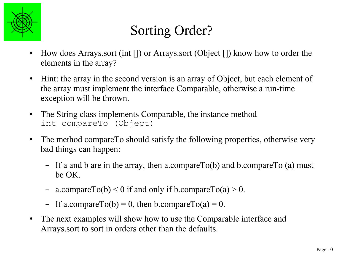

# Sorting Order?

- How does Arrays.sort (int []) or Arrays.sort (Object []) know how to order the elements in the array?
- Hint: the array in the second version is an array of Object, but each element of the array must implement the interface Comparable, otherwise a run-time exception will be thrown.
- The String class implements Comparable, the instance method int compareTo (Object)
- The method compareTo should satisfy the following properties, otherwise very bad things can happen:
	- If a and b are in the array, then a.compareTo(b) and b.compareTo (a) must be OK.
	- a.compareTo(b) < 0 if and only if b.compareTo(a) > 0.
	- If a.compareTo(b) = 0, then b.compareTo(a) = 0.
- The next examples will show how to use the Comparable interface and Arrays.sort to sort in orders other than the defaults.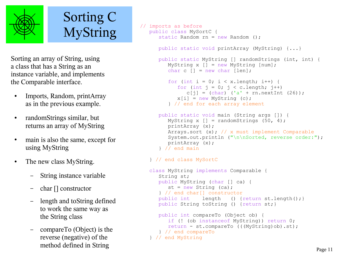

#### Sorting C MyString

Sorting an array of String, using a class that has a String as an instance variable, and implements the Comparable interface.

- Imports, Random, printArray as in the previous example.
- randomStrings similar, but returns an array of MyString
- main is also the same, except for using MyString
- The new class MyString.
	- String instance variable
	- char [] constructor
	- length and toString defined to work the same way as the String class
	- compareTo (Object) is the reverse (negative) of the method defined in String

```
// imports as before
    public class MySortC {
      static Random rn = new Random():
       public static void printArray (MyString) {...}
       public static MyString [] randomStrings (int, int) {
          MyString x [] = new MyString [num];
         char c \lceil \rceil = new char \lceil \cdot \rceil:
         for (int i = 0; i < x.length; i++) {
            for (int j = 0; j < c. length; j++)c[i] = (char) ('a' + rn.nextInt (26));
            x[i] = new MyString (c);
          } // end for each array element
       public static void main (String args []) {
         MyString x [] = randomStrings (50, 4);
          printArray (x);
          Arrays.sort (x); // x must implement Comparable
         System.out.println ("\n\nSorted, reverse order:");
          printArray (x);
       } // end main
    } // end class MySortC
    class MyString implements Comparable {
       String st;
       public MyString (char [] ca) {
         st = new String (ca);
       } // end char[] constructor
      public int length () {return st.length(); }
      public String toString () {return st; }
       public int compareTo (Object ob) {
          if (! (ob instanceof MyString)) return 0;
          return - st.compareTo (((MyString)ob).st);
       } // end compareTo
    } // end MyString
```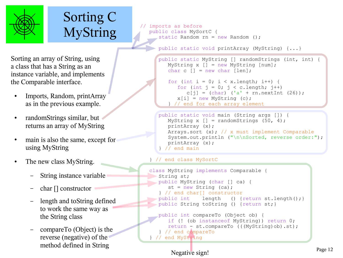

# Sorting C MyString

ż

imports as before public class MySortC { static Random rn = new Random ();

public static void printArray (MyString) {...}

```
Sorting an array of String, using
a class that has a String as an 
instance variable, and implements 
the Comparable interface.
```
- Imports, Random, printArray as in the previous example.
- randomStrings similar, but returns an array of MyString
- main is also the same, except for using MyString
- The new class MyString.
	- String instance variable
	- char [] constructor
	- length and toString defined to work the same way as the String class
	- compareTo (Object) is the reverse (negative) of the method defined in String

```
 public static MyString [] randomStrings (int, int) {
    MyString x [] = new MyString [num];
   char c \lceil \rceil = new char \lceil \cdot \rceil:
```

```
for (int i = 0; i < x.length; i++) {
  for (int j = 0; j < c.length; j++)c[i] = (char) ('a' + rn.nextInt (26));
  x[i] = new MyString (c);
 } // end for each array element
```

```
 public static void main (String args []) {
   MyString x [] = randomStrings (50, 4);
    printArray (x);
    Arrays.sort (x); // x must implement Comparable
   System.out.println ("\n\nSorted, reverse order:");
    printArray (x);
\frac{1}{2} // end main
```

```
 } // end class MySortC
```

```
 class MyString implements Comparable {
    String st;
   public MyString (char [] ca) {
      st = new String (ca);
    } // end char[] constructor
                 length () {return st.length();}
    public String toString () {return st;}
    public int compareTo (Object ob) {
       if (! (ob instanceof MyString)) return 0;
       return - st.compareTo (((MyString)ob).st);
    } // end compareTo
 } // end MyString
```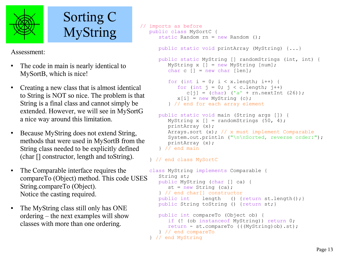

# Sorting C MyString

Assessment:

- The code in main is nearly identical to MySortB, which is nice!
- Creating a new class that is almost identical to String is NOT so nice. The problem is that String is a final class and cannot simply be extended. However, we will see in MySortG a nice way around this limitation.
- Because MyString does not extend String, methods that were used in MySortB from the String class needed to be explicitly defined (char [] constructor, length and toString).
- The Comparable interface requires the compareTo (Object) method. This code USES String.compareTo (Object). Notice the casting required.
- The MyString class still only has ONE ordering – the next examples will show classes with more than one ordering.

```
// imports as before
    public class MySortC {
      static Random rn = new Random():
       public static void printArray (MyString) {...}
       public static MyString [] randomStrings (int, int) {
          MyString x [] = new MyString [num];
         char c \lceil \rceil = new char \lceil \cdot \rceil:
         for (int i = 0; i < x.length; i++) {
            for (int j = 0; j < c.length; j++)c[i] = (char) ('a' + rn.nextInt (26));
            x[i] = new MyString (c);
          } // end for each array element
       public static void main (String args []) {
         MyString x [] = randomStrings (50, 4);
          printArray (x);
          Arrays.sort (x); // x must implement Comparable
         System.out.println ("\n\nSorted, reverse order:");
          printArray (x);
        } // end main
    } // end class MySortC
    class MyString implements Comparable {
       String st;
       public MyString (char [] ca) {
         st = new String (ca); } // end char[] constructor
      public int length () {return st.length(); }
      public String toString () {return st; }
       public int compareTo (Object ob) {
          if (! (ob instanceof MyString)) return 0;
          return - st.compareTo (((MyString)ob).st);
```

```
 } // end compareTo
```

```
 } // end MyString
```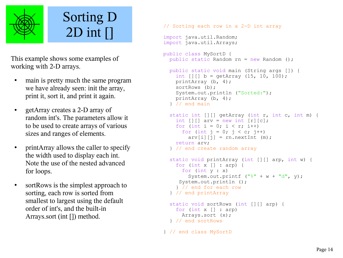

# Sorting D 2D int []

This example shows some examples of working with 2-D arrays.

- main is pretty much the same program we have already seen: init the array, print it, sort it, and print it again.
- getArray creates a 2-D array of random int's. The parameters allow it to be used to create arrays of various sizes and ranges of elements.
- printArray allows the caller to specify the width used to display each int. Note the use of the nested advanced for loops.
- sortRows is the simplest approach to sorting, each row is sorted from smallest to largest using the default order of int's, and the built-in Arrays.sort (int []) method.

```
// Sorting each row in a 2-D int array
import java.util.Random;
import java.util.Arrays;
public class MySortD {
  public static Random rn = new Random ();
   public static void main (String args []) {
    int [1][ b = getArray (15, 10, 100);
     printArray (b, 4);
     sortRows (b);
     System.out.println ("Sorted:");
     printArray (b, 4);
   } // end main
   static int [][] getArray (int r, int c, int m) {
    int [1][ arv = new int [r][c];
    for (int i = 0; i < r; i++)
      for (int j = 0; j < c; j++)ary[i][j] = rn.nextInt (m); return arv;
   } // end create random array
   static void printArray (int [][] arp, int w) {
    for (int x \mid 1 : \text{arp}) {
       for (int y : x)
        System.out.printf ("\" + w + "d", y);
      System.out.println ();
     } // end for each row
   } // end printArray
   static void sortRows (int [][] arp) {
     for (int x [] : arp)
       Arrays.sort (x);
   } // end sortRows
} // end class MySortD
```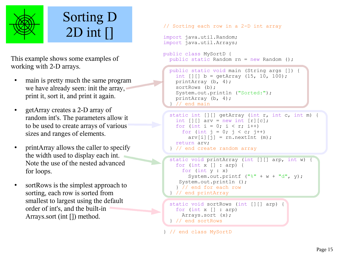

# Sorting D 2D int []

This example shows some examples of working with 2-D arrays.

- main is pretty much the same program we have already seen: init the array, print it, sort it, and print it again.
- getArray creates a 2-D array of random int's. The parameters allow it to be used to create arrays of various sizes and ranges of elements.
- printArray allows the caller to specify the width used to display each int. Note the use of the nested advanced for loops.
- sortRows is the simplest approach to sorting, each row is sorted from smallest to largest using the default order of int's, and the built-in Arrays.sort (int []) method.

```
// Sorting each row in a 2-D int array
import java.util.Random;
import java.util.Arrays;
public class MySortD {
  public static Random rn = new Random();
```
ż

```
 public static void main (String args []) {
  int [1][1 b = \text{getArray} (15, 10, 100); printArray (b, 4);
   sortRows (b);
   System.out.println ("Sorted:");
   printArray (b, 4);
  \frac{1}{2} end main
```

```
 static int [][] getArray (int r, int c, int m) {
  int [1][ arv = new int [r][c];
  for (int i = 0; i < r; i++)
    for (int j = 0; j < c; j++)ary[i][j] = rn.nextInt (m); return arv;
 } // end create random array
```

```
 static void printArray (int [][] arp, int w) {
   for (int x [] : arp) {
     for (int y : x)
      System.out.printf ("%" + w + "d", y); System.out.println ();
   } // end for each row
 } // end printArray
```

```
 static void sortRows (int [][] arp) {
   for (int x [] : arp)
     Arrays.sort (x);
 } // end sortRows
```

```
} // end class MySortD
```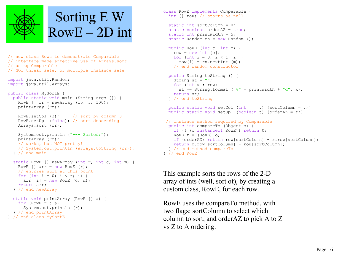

```
// new class Rows to demonstrate Comparable 
// interface made effective use of Arrays.sort 
// using Comparable
// NOT thread safe, or multiple instance safe
import java.util.Random;
import java.util.Arrays;
public class MySortE {
  public static void main (String args []) {
    RowE [] rr = newArray (15, 5, 100); printArray (rr);
   RowE.setCol (3); // sort by column 3
    RowE.setUp (false); // sort descending
    Arrays.sort (rr);
     System.out.println ("--- Sorted:");
    printArray (rr);
    // works, but NOT pretty!
     // System.out.println (Arrays.toString (rr));
   } // end main
  static RowE [] newArray (int r, int c, int m) {
    RowE \lceil \cdot \rceil arr = new RowE \lceil r \rceil;
    // entries null at this point
   for (int i = 0; i < r; i++)
      arr [i] = new RowE (c, m);
    return arr;
   } // end newArray
  static void printArray (RowE [] a) {
    for (RowE r : a)
       System.out.println (r);
   } // end printArray
```

```
} // end class MySortE
```

```
class RowE implements Comparable {
   int [] row; // starts as null
   static int sortColumn = 0;
  static boolean orderAZ = true;
 static int printWidth = 5;
 static Random rn = new Random();
   public RowE (int c, int m) {
   row = new int [c];
   for (int i = 0; i < c; i++)
      row[i] = rn.nextInt (m);
   } // end random constructor
   public String toString () {
    String st = ""; for (int x : row)
      st += String.format (\sqrt{"}8" + \text{printWidth} + \sqrt{"}d", x); return st;
  } // end toString
 public static void setCol (int v) {sortColumn = v; }
   public static void setUp (boolean t) {orderAZ = t;}
// instance method required by Comparable
  public int compareTo (Object o) {
    if (! (o instanceof RowE)) return 0;
    RowE r = (RowE) o;
    if (orderAZ) return row[sortColumn] - r.row[sortColumn];
    return r.row[sortColumn] - row[sortColumn];
  } // end method compareTo
} // end RowE
```
This example sorts the rows of the 2-D array of ints (well, sort of), by creating a custom class, RowE, for each row.

RowE uses the compareTo method, with two flags: sortColumn to select which column to sort, and orderAZ to pick A to Z vs Z to A ordering.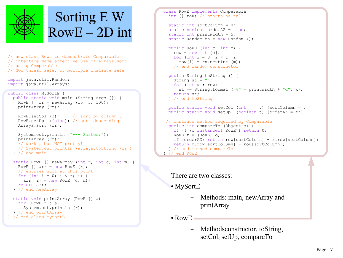

```
// new class Rows to demonstrate Comparable 
// interface made effective use of Arrays.sort 
// using Comparable
// NOT thread safe, or multiple instance safe
import java.util.Random;
```
import java.util.Arrays;

```
public class MySortE {
  public static void main (String args []) {
   RowE [] rr = newArray (15, 5, 100); printArray (rr);
   RowE.setCol (3); // sort by column 3
    RowE.setUp (false); // sort descending
```

```
 Arrays.sort (rr);
 System.out.println ("--- Sorted:");
 printArray (rr);
 // works, but NOT pretty!
```

```
 // System.out.println (Arrays.toString (rr));
 } // end main
```

```
 static RowE [] newArray (int r, int c, int m) {
  RowE \lceil \cdot \rceil arr = new RowE \lceil r \rceil;
   // entries null at this point
  for (int i = 0; i < r; i++)
    arr [i] = new RowE (c, m);
   return arr;
 } // end newArray
 static void printArray (RowE [] a) {
   for (RowE r : a)
```

```
 System.out.println (r);
 } // end printArray
```

```
} // end class MySortE
```

```
class RowE implements Comparable {
  int [] row; // starts as null
  static int sortColumn = 0;
 static boolean orderAZ = true;
  static int printWidth = 5;
 static Random rn = new Random();
  public RowE (int c, int m) {
   row = new int [c];
   for (int i = 0; i < c; i++)
     row[i] = rn.nextInt (m);
  } // end random constructor
  public String toString () {
   String st = ""; for (int x : row)
     st += String.format ("%" + printWidth + "d", x);
    return st;
  } // end toString
 public static void setCol (int v) {sortColumn = v;}
  public static void setUp (boolean t) {orderAZ = t;}
// instance method required by Comparable
  public int compareTo (Object o) {
    if (! (o instanceof RowE)) return 0;
   RowE r = (RowE) o:
    if (orderAZ) return row[sortColumn] - r.row[sortColumn];
    return r.row[sortColumn] - row[sortColumn];
  } // end method compareTo
 // end RowE
```
There are two classes:

● MySortE

– Methods: main, newArray and printArray

 $\bullet$  RowE

– Methodsconstructor, toString, setCol, setUp, compareTo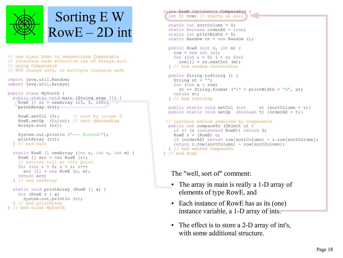

```
// new class Rows to demonstrate Comparable 
// interface made effective use of Arrays.sort 
// using Comparable
// NOT thread safe, or multiple instance safe
import java.util.Random;
import java.util.Arrays;
public class MySortE {
   public static void main (String args []) {
    RowE [] rr = newArray (15, 5, 100); printArray (rr);
    RowE.setCol (3); // sort by column 3
     RowE.setUp (false); // sort descending
     Arrays.sort (rr);
     System.out.println ("--- Sorted:");
     printArray (rr);
   } // end main
   static RowE [] newArray (int r, int c, int m) {
    RowE \lceil \cdot \rceil arr = new RowE \lceil r \rceil;
     // entries null at this point
    for (int i = 0; i < r; i++)
      arr [i] = new RowE (c, m);
     return arr;
   } // end newArray
   static void printArray (RowE [] a) {
     for (RowE r : a)
```

```
 System.out.println (r);
   } // end printArray
} // end class MySortE
```

```
class RowE implements Comparable {
  int [] row; // starts as null
J
  static int sortColumn = 0;
 static boolean orderAZ = true;
 static int printWidth = 5;
 static Random rn = new Random();
  public RowE (int c, int m) {
   row = new int [c];
   for (int i = 0; i < c; i++)row[i] = rn.nextInt (m);
  } // end random constructor
  public String toString () {
   String st = ""; for (int x : row)
     st += String.format ("%" + printWidth + "d", x); return st;
  } // end toString
 public static void setCol (int v) {sortColumn = v;}
  public static void setUp (boolean t) {orderAZ = t;}
// instance method required by Comparable
  public int compareTo (Object o) {
    if (! (o instanceof RowE)) return 0;
   RowE r = (RowE) o;
    if (orderAZ) return row[sortColumn] - r.row[sortColumn];
    return r.row[sortColumn] - row[sortColumn];
  } // end method compareTo
} // end RowE
```
The "well, sort of" comment:

- The array in main is really a 1-D array of elements of type RowE, and
- Each instance of RowE has as its (one) instance variable, a 1-D array of ints.
- The effect is to store a 2-D array of int's, with some additional structure.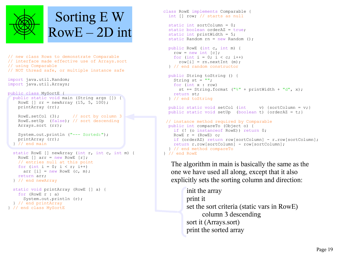

// new class Rows to demonstrate Comparable // interface made effective use of Arrays.sort // using Comparable // NOT thread safe, or multiple instance safe

import java.util.Random; import java.util.Arrays;

#### public class MySortE {

```
 public static void main (String args []) {
  RowE [] rr = newArray (15, 5, 100); printArray (rr);
  RowE.setCol (3); // sort by column 3
   RowE.setUp (false); // sort descending
   Arrays.sort (rr);
   System.out.println ("--- Sorted:");
   printArray (rr);
 } // end main
 static RowE [] newArray (int r, int c, int m) {
  RowE \lceil \cdot \rceil arr = new RowE \lceil r \rceil;
   // entries null at this point
  for (int i = 0; i < r; i++)
    arr [i] = new RowE (c, m);
```

```
 return arr;
 } // end newArray
```

```
 static void printArray (RowE [] a) {
    for (RowE r : a)
       System.out.println (r);
   } // end printArray
} // end class MySortE
```

```
class RowE implements Comparable {
   int [] row; // starts as null
  static int sortColumn = 0;
  static boolean orderAZ = true;
 static int printWidth = 5;
 static Random rn = new Random();
   public RowE (int c, int m) {
   row = new int [c];
   for (int i = 0; i < c; i++)
      row[i] = rn.nextInt (m);
   } // end random constructor
   public String toString () {
    String st = ""; for (int x : row)
      st += String.format (\sqrt{"}8" + \text{printWidth} + \sqrt{"}d", x); return st;
   } // end toString
 public static void setCol (int v) {sortColumn = v; }
   public static void setUp (boolean t) {orderAZ = t;}
 // instance method required by Comparable
  public int compareTo (Object o) {
    if (! (o instanceof RowE)) return 0;
    RowE r = (RowE) o;
    if (orderAZ) return row[sortColumn] - r.row[sortColumn];
     return r.row[sortColumn] - row[sortColumn];
   } // end method compareTo
} // end RowE
```
The algorithm in main is basically the same as the one we have used all along, except that it also explicitly sets the sorting column and direction:

> init the array print it set the sort criteria (static vars in RowE) column 3 descending sort it (Arrays.sort) print the sorted array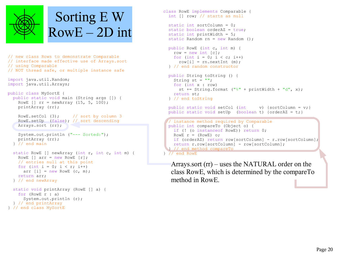

```
// new class Rows to demonstrate Comparable 
// interface made effective use of Arrays.sort 
// using Comparable
// NOT thread safe, or multiple instance safe
import java.util.Random;
import java.util.Arrays;
public class MySortE {
   public static void main (String args []) {
    RowE [] rr = newArray (15, 5, 100); printArray (rr);
    RowE.setCol (3); // sort by column 3
     RowE.setUp (false); // sort descending
     Arrays.sort (rr);
     System.out.println ("--- Sorted:");
     printArray (rr);
   } // end main
   static RowE [] newArray (int r, int c, int m) {
    RowE \lceil \cdot \rceil arr = new RowE \lceil r \rceil;
     // entries null at this point
    for (int i = 0; i < r; i++)
      arr [i] = new RowE (c, m);
     return arr;
   } // end newArray
   static void printArray (RowE [] a) {
     for (RowE r : a)
       System.out.println (r);
```

```
 } // end printArray
} // end class MySortE
```

```
class RowE implements Comparable {
  int [] row; // starts as null
  static int sortColumn = 0;
 static boolean orderAZ = true;
 static int printWidth = 5;
 static Random rn = new Random();
  public RowE (int c, int m) {
   row = new int [c];
   for (int i = 0; i < c; i++)row[i] = rn.nextInt (m);
  } // end random constructor
  public String toString () {
   String st = ""; for (int x : row)
     st += String.format ("%" + printWidth + "d", x); return st;
  } // end toString
 public static void setCol (int v) {sortColumn = v;}
  public static void setUp (boolean t) {orderAZ = t;}
  // instance method required by Comparable
  public int compareTo (Object o) {
    if (! (o instanceof RowE)) return 0;
   RowE r = (RowE) o;
    if (orderAZ) return row[sortColumn] - r.row[sortColumn];
    return r.row[sortColumn] - row[sortColumn];
   } // end method compareTo
  } // end RowE
```
Arrays.sort (rr) – uses the NATURAL order on the class RowE, which is determined by the compareTo method in RowE.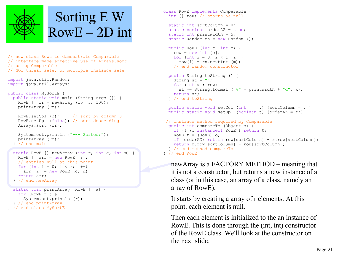

```
// new class Rows to demonstrate Comparable 
// interface made effective use of Arrays.sort 
// using Comparable
// NOT thread safe, or multiple instance safe
import java.util.Random;
import java.util.Arrays;
public class MySortE {
  public static void main (String args []) {
   RowE [] rr = newArray (15, 5, 100); printArray (rr);
   RowE.setCol (3); // sort by column 3
    RowE.setUp (false); // sort descending
    Arrays.sort (rr);
```

```
 System.out.println ("--- Sorted:");
  printArray (rr);
 } // end main
```

```
 static RowE [] newArray (int r, int c, int m) {
  RowE \lceil \cdot \rceil arr = new RowE \lceil r \rceil;
   // entries null at this point
  for (int i = 0; i < r; i++)
    arr [i] = new RowE (c, m);
   return arr;
 } // end newArray
```

```
 static void printArray (RowE [] a) {
    for (RowE r : a)
       System.out.println (r);
  } // end printArray
} // end class MySortE
```

```
class RowE implements Comparable {
   int [] row; // starts as null
   static int sortColumn = 0;
 static boolean orderAZ = true;
 static int printWidth = 5;
 static Random rn = new Random();
   public RowE (int c, int m) {
   row = new int [c];
   for (int i = 0; i < c; i++)
      row[i] = rn.nextInt (m);
   } // end random constructor
   public String toString () {
   String st = "";
    for (int x : row)
      st += String.format (\sqrt{"}8" + \text{printWidth} + \sqrt{"}d", x); return st;
  } // end toString
  public static void setCol (int v) {sortColumn = v;}
   public static void setUp (boolean t) {orderAZ = t;}
// instance method required by Comparable
  public int compareTo (Object o) {
   if (! (o instanceof RowE)) return 0;
    RowE r = (RowE) o;
    if (orderAZ) return row[sortColumn] - r.row[sortColumn];
     return r.row[sortColumn] - row[sortColumn];
   } // end method compareTo
} // end RowE
```
newArray is a FACTORY METHOD – meaning that it is not a constructor, but returns a new instance of a class (or in this case, an array of a class, namely an array of RowE).

It starts by creating a array of r elements. At this point, each element is null.

Then each element is initialized to the an instance of RowE. This is done through the (int, int) constructor of the RowE class. We'll look at the constructor on the next slide.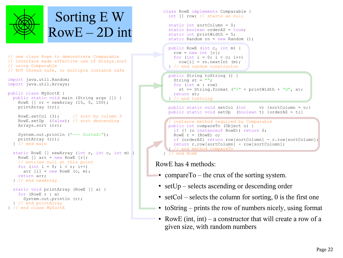

- // new class Rows to demonstrate Comparable // interface made effective use of Arrays.sort // using Comparable // NOT thread safe, or multiple instance safe
- import java.util.Random; import java.util.Arrays;

```
public class MySortE {
```
 public static void main (String args []) { RowE []  $rr = newArray (15, 5, 100);$ printArray (rr);

```
RowE.setCol (3); // sort by column 3
 RowE.setUp (false); // sort descending
 Arrays.sort (rr);
```

```
 System.out.println ("--- Sorted:");
  printArray (rr);
 } // end main
```

```
 static RowE [] newArray (int r, int c, int m) {
  RowE \lceil \cdot \rceil arr = new RowE \lceil r \rceil;
   // entries null at this point
  for (int i = 0; i < r; i++)
    arr [i] = new RowE (c, m);
   return arr;
 } // end newArray
```

```
 static void printArray (RowE [] a) {
     for (RowE r : a)
       System.out.println (r);
   } // end printArray
} // end class MySortE
```


#### RowE has 4 methods:

- compareTo the crux of the sorting system.
- setUp selects ascending or descending order
- setCol selects the column for sorting, 0 is the first one
- $\bullet$  toString prints the row of numbers nicely, using format
- RowE (int, int) a constructor that will create a row of a given size, with random numbers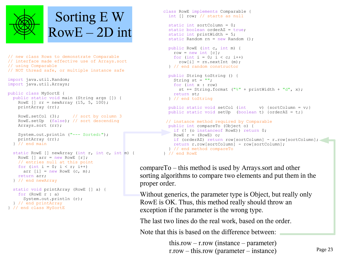

```
// new class Rows to demonstrate Comparable 
// interface made effective use of Arrays.sort 
// using Comparable
// NOT thread safe, or multiple instance safe
import java.util.Random;
import java.util.Arrays;
public class MySortE {
  public static void main (String args []) {
    RowE [] rr = newArray (15, 5, 100); printArray (rr);
   RowE.setCol (3); // sort by column 3
    RowE.setUp (false); // sort descending
    Arrays.sort (rr);
     System.out.println ("--- Sorted:");
    printArray (rr);
   } // end main
  static RowE [] newArray (int r, int c, int m) {
   RowE \lceil \cdot \rceil arr = new RowE \lceil r \rceil;
    // entries null at this point
   for (int i = 0; i < r; i++)
     arr [i] = new RowE (c, m);
    return arr;
  } // end newArray
  static void printArray (RowE [] a) {
     for (RowE r : a)
```

```
 System.out.println (r);
 } // end printArray
```

```
} // end class MySortE
```

```
class RowE implements Comparable {
   int [] row; // starts as null
   static int sortColumn = 0;
  static boolean orderAZ = true;
  static int printWidth = 5;
  static Random rn = new Random();
   public RowE (int c, int m) {
   row = new int [c];
   for (int i = 0; i < c; i++)row[i] = rn.nextInt (m);
   } // end random constructor
   public String toString () {
    String st = "";
    for (int x : row)
      st += String.format (\sqrt{"}8" + \text{printWidth} + \sqrt{"}d", x); return st;
   } // end toString
  public static void setCol (int v) {sortColumn = v;}
  public static void setUp (boolean t) {orderAZ = t; }
 // instance method required by Comparable
  public int compareTo (Object o) {
   if (! (o instanceof RowE)) return 0;
    RowE r = (RowE) o;
     if (orderAZ) return row[sortColumn] - r.row[sortColumn];
     return r.row[sortColumn] - row[sortColumn];
   } // end method compareTo
} // end RowE
```
compareTo – this method is used by Arrays.sort and other sorting algorithms to compare two elements and put them in the proper order.

Without generics, the parameter type is Object, but really only RowE is OK. Thus, this method really should throw an exception if the parameter is the wrong type.

The last two lines do the real work, based on the order.

Note that this is based on the difference between:

this.row – r.row (instance – parameter) r.row – this.row (parameter – instance)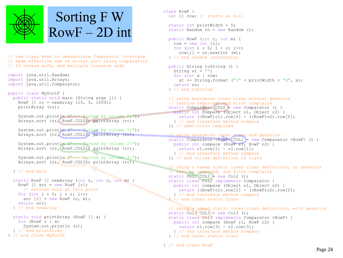

# Sorting F W  $RowF - 2D$  int

// new class Rows to demonstrate Comparator interface // made effective use of Arrays.sort using Comparators // IS thread safe, and multiple instance safe

import java.util.Random; import java.util.Arrays; import java.util.Comparator;

```
public class MySortF {
```
 public static void main (String args []) { RowF []  $rr = newArray (15, 5, 1000);$ printArray (rr);

```
System.out.println ("--- Sorted by column 0:");
 Arrays.sort (rr, RowF.COL0); printArray (rr);
```

```
System.out.println ("--- Sorted by column 1:");
Arrays.sort (rr, RowF.COL1); printArray (rr);
```

```
 System.out.println ("--- Sorted by column 2:");
 Arrays.sort (rr, RowF.COL2); printArray (rr);
```

```
System.out.println ("--- Sorted by column 3:");
Arrays.sort (rr, RowF.COL3); printArray (rr);
```
} // end main

```
 static RowF [] newArray (int r, int c, int m) {
  RowF [] arr = new RowF [r];
    // entries null at this point
  for (int i = 0; i < r; i++)
    arr [i] = new RowF (c, m);
   return arr;
 } // end newArray
 static void printArray (RowF [] a) {
  for (RowF r : a)
     System.out.println (r);
 } // end printArray
```

```
} // end class MySortE
```

```
class RowF {
   int [] row; // starts as null
   static int printWidth = 5;
  static Random rn = new Random ();
   public RowF (int c, int m) {
    row = new int [c]:
    for (int i = 0; i < c; i++)
      row[i] = rn.nextInt (m);
   } // end random constructor
   public String toString () {
    String st = "";
     for (int x : row)
      st += String.format ("%" + printWidth + "d", x); return st;
   } // end toString
   // using anonymous inner class without generics
   // casting required, and Xlint complains
   static Comparator COL0 = new Comparator () {
     public int compare (Object o1, Object o2) {
      return ((ROWF)o1).row[0] - (ROWF)o2).row[0];
     } // end interface method compare
   }; // semi-colon required
   // using anonymous inner class and generics
  static Comparator \langle RowF \rangle COL1 = new Comparator \langle RowF \rangle () {
```

```
 public int compare (RowF r1, RowF r2) {
  return r1.row[1] - r2.row[1];
 } // end interface method compare
```

```
 }; // end inline definition of class
```

```
 // using a named static inner class definition, no generics
 // casting required, and Xlint complains
static Col2 COL2 = new Col2 ();
 static class Col2 implements Comparator {
   public int compare (Object o1, Object o2) {
    return ((RowF)o1).row[2] - ((RowF)o2).row[2];
   } // end interface method compare
 } // end inner static class
```

```
 // using a named static inner class definition, with generics
static Col3 COL3 = new Col3 ();
 static class Col3 implements Comparator <RowF> {
   public int compare (RowF r1, RowF r2) {
   return r1.row[3] - r2.row[3];
   } // end interface method compare
 } // end inner static class
```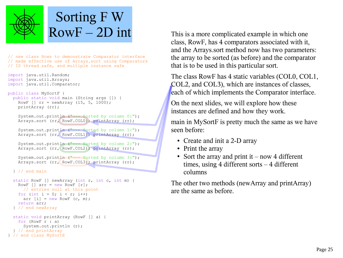

## Sorting F W  $RowF-2D$  int

// new class Rows to demonstrate Comparator interface // made effective use of Arrays.sort using Comparators // IS thread safe, and multiple instance safe

```
import java.util.Random;
import java.util.Arrays;
import java.util.Comparator;
```

```
public class MySortF {
```

```
 public static void main (String args []) {
 RowF [] rr = newArray (15, 5, 1000); printArray (rr);
```

```
System.out.println ("--- Sorted by column 0:");
 Arrays.sort (rr, RowF.COL0); printArray (rr);
```

```
System.out.println ("--- Sorted by column 1:");
 Arrays.sort (rr, RowF.COL1); printArray (rr);
```

```
 System.out.println ("--- Sorted by column 2:");
 Arrays.sort (rr, RowF.COL2); printArray (rr);
```

```
 System.out.println ("--- Sorted by column 3:");
Arrays.sort (rr, RowF.COL3); printArray (rr);
```
} // end main

```
 static RowF [] newArray (int r, int c, int m) {
  RowF [] arr = new RowF [r];
    // entries null at this point
  for (int i = 0; i < r; i++)
    arr [i] = new RowF (c, m);
   return arr;
 } // end newArray
 static void printArray (RowF [] a) {
   for (RowF r : a)
     System.out.println (r);
 } // end printArray
```

```
} // end class MySortE
```
This is a more complicated example in which one class, RowF, has 4 comparators associated with it, and the Arrays.sort method now has two parameters: the array to be sorted (as before) and the comparator that is to be used in this particular sort.

The class RowF has 4 static variables (COL0, COL1, COL2, and COL3), which are instances of classes, each of which implements the Comparator interface.

On the next slides, we will explore how these instances are defined and how they work.

main in MySortF is pretty much the same as we have seen before:

- Create and init a 2-D array
- Print the array
- Sort the array and print it now 4 different times, using 4 different sorts – 4 different columns

The other two methods (newArray and printArray) are the same as before.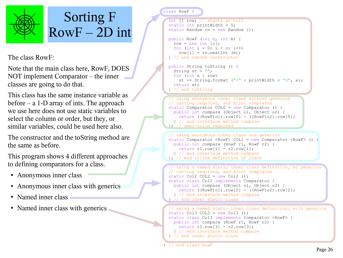

#### Sorting F  $RowF-2D$  int

The class RowF:

Note that the main class here, RowF, DOES NOT implement Comparator – the inner classes are going to do that.

This class has the same instance variable as before  $-$  a 1-D array of ints. The approach we use here does not use static variables to select the column or order, but they, or similar variables, could be used here also.

The constructor and the toString method are the same as before.

This program shows 4 different approaches to defining comparators for a class.

- Anonymous inner class
- Anonymous inner class with generics
- Named inner class
- Named inner class with generics

class RowF

```
 int [] row; // starts as null
  static int printWidth = 5;
 static Random rn = new Random ();
L
  public RowF (int c, int m) {
   row = new int [c]:
   for (int i = 0; i < c; i++)
     row[i] = rn.nextInt (m);
  } // end random constructor
ł,
  public String toString () {
   String st = " for (int x : row)
     st += String.format ("%" + printWidth + "d", x);
    return st;
   } // end toString
ð
  // using anonymous inner class without generics
  // casting required, and Xlint complains
  static Comparator COL0 = new Comparator () {
    public int compare (Object o1, Object o2) {
     return ((RowF)01).row[0] - ((RowF)02).row[0];
     } // end interface method compare
   }; // semi-colon required
```

```
 // using anonymous inner class and generics
 static Comparator <RowF> COL1 = new Comparator <RowF> () {
  public int compare (RowF r1, RowF r2) {
    return r1.row[1] - r2.row[1];
   } // end interface method compare
 }; // end inline definition of class
```

```
J
   // using a named static inner class definition, no generics
  // casting required, and Xlint complains
 static Col2 COL2 = new Col2 ();
  static class Col2 implements Comparator {
    public int compare (Object o1, Object o2) {
     return ((RowF)o1).row[2] - ((RowF)o2).row[2];
    } // end interface method compare
   // end inner static class
```

```
ź
   // using a named static inner class definition, with generics
 static Col3 COL3 = new Col3 ();
  static class Col3 implements Comparator <RowF> {
    public int compare (RowF r1, RowF r2) {
     return r1.row[3] - r2.row[3];
     } // end interface method compare
  } // end inner static class
٦
```
} // end class RowF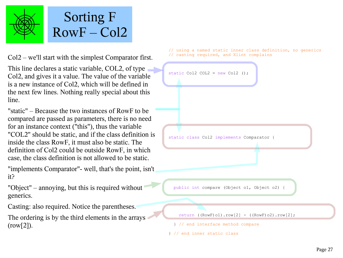

# Sorting F  $RowF - Col2$

Col2 – we'll start with the simplest Comparator first.

This line declares a static variable, COL2, of type Col2, and gives it a value. The value of the variable is a new instance of Col2, which will be defined in the next few lines. Nothing really special about this line.

"static" – Because the two instances of RowF to be compared are passed as parameters, there is no need for an instance context ("this"), thus the variable "COL2" should be static, and if the class definition is inside the class RowF, it must also be static. The definition of Col2 could be outside RowF, in which case, the class definition is not allowed to be static.

"implements Comparator"- well, that's the point, isn't it?

- "Object" annoying, but this is required without generics.
- Casting: also required. Notice the parentheses.
- The ordering is by the third elements in the arrays  $(row[2])$ .

 // using a named static inner class definition, no generics // casting required, and Xlint complains

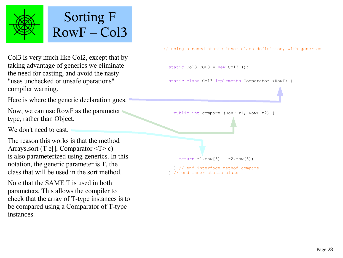

# Sorting F  $RowF - Col3$

Col3 is very much like Col2, except that by taking advantage of generics we eliminate the need for casting, and avoid the nasty "uses unchecked or unsafe operations" compiler warning.

Here is where the generic declaration goes.

Now, we can use RowF as the parameter type, rather than Object.

We don't need to cast.

The reason this works is that the method Arrays.sort (T e[], Comparator  $\leq T$  c) is also parameterized using generics. In this notation, the generic parameter is T, the class that will be used in the sort method.

Note that the SAME T is used in both parameters. This allows the compiler to check that the array of T-type instances is to be compared using a Comparator of T-type instances.

// using a named static inner class definition, with generics

static Col3 COL3 = new Col3 ();

static class Col3 implements Comparator <RowF> {

public int compare (RowF r1, RowF r2) {

return  $r1.row[3] - r2.row[3];$ 

 } // end interface method compare } // end inner static class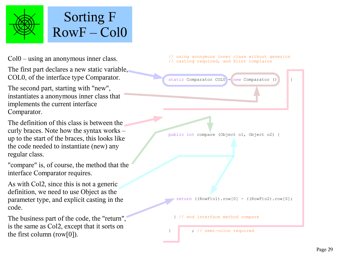

# Sorting F  $RowF - Col0$

Col0 – using an anonymous inner class.

The first part declares a new static variable, COL0, of the interface type Comparator.

The second part, starting with "new", instantiates a anonymous inner class that implements the current interface Comparator.

The definition of this class is between the curly braces. Note how the syntax works – up to the start of the braces, this looks like the code needed to instantiate (new) any regular class.

"compare" is, of course, the method that the interface Comparator requires.

As with Col2, since this is not a generic definition, we need to use Object as the parameter type, and explicit casting in the code.

The business part of the code, the "return", is the same as Col2, except that it sorts on the first column (row[0]).

 // using anonymous inner class without generics // casting required, and Xlint complains

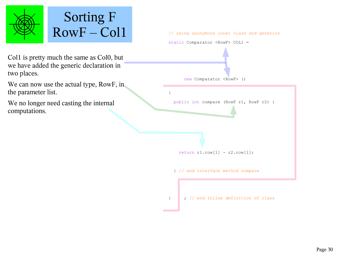

# Sorting F

Col1 is pretty much the same as Col0, but we have added the generic declaration in two places.

We can now use the actual type, RowF, in the parameter list.

We no longer need casting the internal computations.



} ; // end inline definition of class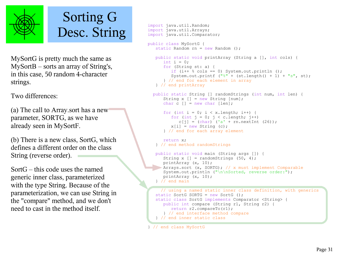

# Sorting G Desc. String

MySortG is pretty much the same as MySortB – sorts an array of String's, in this case, 50 random 4-character strings.

Two differences:

(a) The call to Array.sort has a new parameter, SORTG, as we have already seen in MySortF.

(b) There is a new class, SortG, which defines a different order on the class String (reverse order).

SortG – this code uses the named generic inner class, parameterized with the type String. Because of the parameterization, we can use String in the "compare" method, and we don't need to cast in the method itself.

```
 import java.util.Random;
 import java.util.Arrays;
 import java.util.Comparator;
 public class MySortG {
   static Random rn = new Random();
    public static void printArray (String a [], int cols) {
      int i = 0:
       for (String st: a) {
         if (i++ % cols == 0) System.out.println ();
         System.out.printf ("%" + (st.length() + 1) + "s", st); } // end for each element in array
   } // end printArray
  public static String [] randomStrings (int num, int len) {
      String x \mid \cdot \mid = new String [num];char c \lceil = new char \lceil len];
      for (int i = 0; i < x.length; i++) {
         for (int j = 0; j < c.length; j++)c[j] = (char) ('a' + rn.nextInt (26));
         x[i] = new String (c);
       } // end for each array element
       return x;
    } // end method randomStrings
    public static void main (String args []) {
      String x \vert = randomStrings (50, 4);
       printArray (x, 10);
      Arrays.sort (x, SORTG); // x must implement Comparable
       System.out.println ("\n\nSorted, reverse order:");
       printArray (x, 10);
    } // end main
      // using a named static inner class definition, with generics
    static SortG SORTG = new SortG ();
    static class SortG implements Comparator <String> {
       public int compare (String r1, String r2) {
          return r2.compareTo(r1);
       } // end interface method compare
    } // end inner static class
```

```
 } // end class MySortG
```
Ċ.

S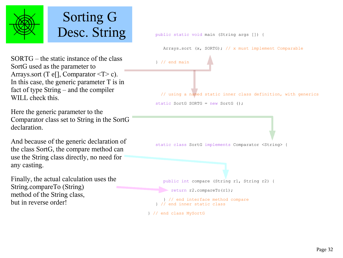

# Sorting G Desc. String

SORTG – the static instance of the class SortG used as the parameter to Arrays.sort (T e[], Comparator  $\leq T$  > c). In this case, the generic parameter T is in fact of type String – and the compiler WILL check this.

Here the generic parameter to the Comparator class set to String in the SortG declaration.

And because of the generic declaration of the class SortG, the compare method can use the String class directly, no need for any casting.

Finally, the actual calculation uses the String.compareTo (String) method of the String class, but in reverse order!

public static void main (String args []) {

Arrays.sort (x, SORTG); // x must implement Comparable

 } // end main // using a named static inner class definition, with generics static SortG SORTG =  $new$  SortG ():

static class SortG implements Comparator <String> {

 public int compare (String r1, String r2) { return r2.compareTo(r1); } // end interface method compare } // end inner static class

} // end class MySortG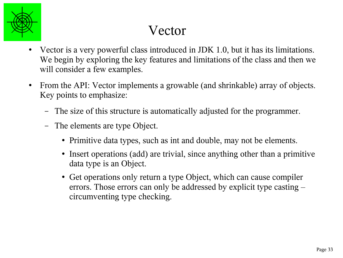

# Vector

- Vector is a very powerful class introduced in JDK 1.0, but it has its limitations. We begin by exploring the key features and limitations of the class and then we will consider a few examples.
- From the API: Vector implements a growable (and shrinkable) array of objects. Key points to emphasize:
	- The size of this structure is automatically adjusted for the programmer.
	- The elements are type Object.
		- Primitive data types, such as int and double, may not be elements.
		- Insert operations (add) are trivial, since anything other than a primitive data type is an Object.
		- Get operations only return a type Object, which can cause compiler errors. Those errors can only be addressed by explicit type casting – circumventing type checking.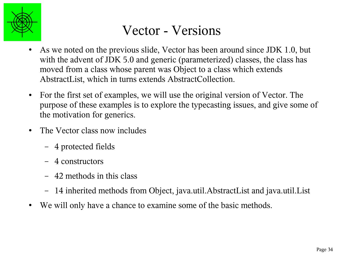

#### Vector - Versions

- As we noted on the previous slide, Vector has been around since JDK 1.0, but with the advent of JDK 5.0 and generic (parameterized) classes, the class has moved from a class whose parent was Object to a class which extends AbstractList, which in turns extends AbstractCollection.
- For the first set of examples, we will use the original version of Vector. The purpose of these examples is to explore the typecasting issues, and give some of the motivation for generics.
- The Vector class now includes
	- 4 protected fields
	- 4 constructors
	- 42 methods in this class
	- 14 inherited methods from Object, java.util.AbstractList and java.util.List
- We will only have a chance to examine some of the basic methods.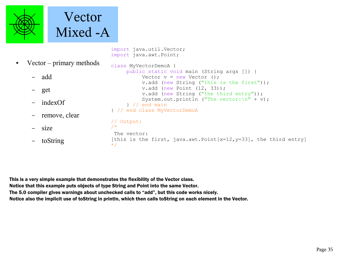

```
import java.util.Vector;
import java.awt.Point;
```
• Vector – primary methods – add – get – indexOf remove, clear – size – toString class MyVectorDemoA { public static void main (String args []) { Vector  $v = new Vector$  (); v.add (new String ("this is the first")); v.add (new Point (12, 33)); v.add (new String ("the third entry")); System.out.println ("The vector: $\ln$ " + v); } // end main } // end class MyVectorDemoA // Output: /\* The vector: [this is the first, java.awt.Point[x=12, y=33], the third entry] \*/

This is a very simple example that demonstrates the flexibility of the Vector class. Notice that this example puts objects of type String and Point into the same Vector. The 5.0 compiler gives warnings about unchecked calls to "add", but this code works nicely. Notice also the implicit use of toString in println, which then calls toString on each element in the Vector.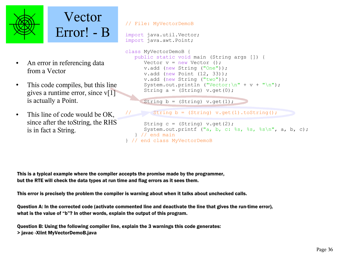



- An error in referencing data from a Vector
- This code compiles, but this line gives a runtime error, since  $v[1]$ is actually a Point.
- This line of code would be OK, since after the toString, the RHS is in fact a String.

```
// File: MyVectorDemoB
import java.util.Vector;
import java.awt.Point;
class MyVectorDemoB {
    public static void main (String args []) {
      Vector v = new Vector ();
       v.add (new String ("One"));
       v.add (new Point (12, 33));
       v.add (new String ("two"));
      System.out.println ("Vector:\n" + v + "\n");
      String a = (String) v.get(0);String b = (String) v.get(1);
        String b = (String) v.get(1).toString();
      String c = (String) v.get(2);
      System.out.printf ("a, b, c: ss, ss, s \nvert n", a, b, c);
    } // end main
} // end class MyVectorDemoB
```
This is a typical example where the compiler accepts the promise made by the programmer, but the RTE will check the data types at run time and flag errors as it sees them.

This error is precisely the problem the compiler is warning about when it talks about unchecked calls.

Question A: In the corrected code (activate commented line and deactivate the line that gives the run-time error), what is the value of "b"? In other words, explain the output of this program.

Question B: Using the following compiler line, explain the 3 warnings this code generates: > javac -Xlint MyVectorDemoB.java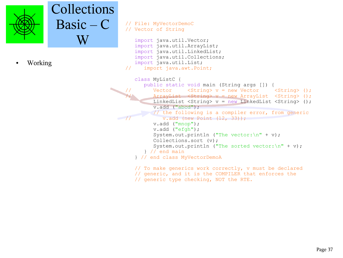

#### Collections Basic – C W

Working

```
// File: MyVectorDemoC
// Vector of String
    import java.util.Vector;
    import java.util.ArrayList;
    import java.util.LinkedList;
    import java.util.Collections;
    import java.util.List;
// import java.awt.Point;
    class MyListC {
       public static void main (String args []) {
         Vector \langleString> v = new Vector \langleString> ();
         ArrayList <String> v = new ArrayList <String> ();
         LinkedList \langleString> v = new LinkedList \langleString> ();
          v.add ("abcd");
          // the following is a compiler error, from generic
             v.add (new Point (12, 33));
          v.add ("mnop");
          v.add ("efgh");
         System.out.println ("The vector:\ln" + v);
          Collections.sort (v);
         System.out.println ("The sorted vector:\ln" + v);
       } // end main
    } // end class MyVectorDemoA
```

```
 // To make generics work correctly, v must be declared
 // generic, and it is the COMPILER that enforces the 
 // generic type checking, NOT the RTE.
```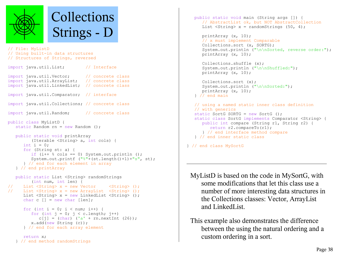

```
// File: MyListD
// Using built-in data structures
// Structures of Strings, reversed
import java.util.List; // Interface
import java.util.Vector; // concrete class
import java.util.ArrayList; // concrete class
import java.util.LinkedList; // concrete class
import java.util.Comparator; // interface
import java.util.Collections; // concrete class
import java.util.Random; // concrete class
public class MyListD {
   static Random rn = new Random ();
   public static void printArray 
          (Iterable <String> a, int cols) {
     int i = 0;
      for (String st: a) {
         if (i++ % cols == 0) System.out.println ();
          System.out.printf ("%"+(st.length()+1)+"s", st);
       } // end for each element in array
   } // end printArray
   public static List <String> randomStrings 
         (int num, int len) {
// List \langleString> x = new Vector \langleString> ();
// List \langleString> x = new ArrayList \langleString> ();
```

```
List \langleString> x = new LinkedList \langleString> ();
char c \lceil = new char \lceil len];
```

```
for (int i = 0; i < num; i++) {
   for (int j = 0; j < c. length; j++)c[j] = (char) ('a' + rn.nextInt (26));
    x.add(new String (c));
 } // end for each array element
```

```
 return x;
 } // end method randomStrings
```

```
 public static void main (String args []) {
    // AbstractList ok, but NOT AbstractCollection
  List \langleString> x = randomStrings (50, 4);
```

```
 printArray (x, 10);
 // x must implement Comparable
 Collections.sort (x, SORTG); 
System.out.println ("\n\nSorted, reverse order:");
 printArray (x, 10);
```

```
 Collections.shuffle (x);
System.out.println ("\n\nShuffled:");
 printArray (x, 10);
```

```
 Collections.sort (x);
   System.out.println ("\n\nSorted:");
    printArray (x, 10);
 } // end main
```

```
 // using a named static inner class definition
 // with generics
static SortG SORTG = new SortG ();
 static class SortG implements Comparator <String> {
    public int compare (String r1, String r2) {
       return r2.compareTo(r1);
    } // end interface method compare
 } // end inner static class
```

```
} // end class MySortG
```
MyListD is based on the code in MySortG, with some modifications that let this class use a number of more interesting data structures in the Collections classes: Vector, ArrayList and LinkedList.

```
This example also demonstrates the difference 
    between the using the natural ordering and a 
   custom ordering in a sort.
```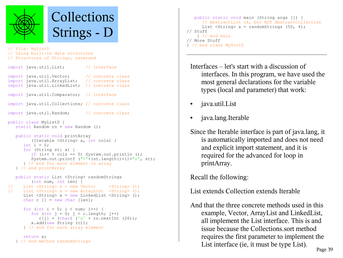

// File: MyListD // Using built-in data structures // Structures of Strings, reversed

| import java.util.List; // Interface                                                                                                                                                                                                                                                                                                                                          |  |
|------------------------------------------------------------------------------------------------------------------------------------------------------------------------------------------------------------------------------------------------------------------------------------------------------------------------------------------------------------------------------|--|
| import java.util.Vector; // concrete class<br>import java.util.ArrayList; // concrete class<br>import java.util.LinkedList; // concrete class                                                                                                                                                                                                                                |  |
| import java.util.Comparator; // interface                                                                                                                                                                                                                                                                                                                                    |  |
| import java.util.Collections; // concrete class                                                                                                                                                                                                                                                                                                                              |  |
| import java.util. Random; // concrete class                                                                                                                                                                                                                                                                                                                                  |  |
| public class MyListD {<br>static Random $rn = new Random()$ ;                                                                                                                                                                                                                                                                                                                |  |
| public static void printArray<br>(Iterable <string> a, int cols) {<br/>int i = <math>0</math>;<br/>for <math>(String st: a)</math> {<br/>if <math>(i++</math> % cols == 0) System.out.println ();<br/>System.out.printf <math>("%"+(st.length() + 1) + "s", st);</math><br/>} // end for each element in array<br/>} // end printArray</string>                              |  |
| public static List <string> randomStrings<br/><math>(int num, int len)</math> {<br/>// List <string> x = new Vector <string> ();<br/>// List <string> x = new ArrayList <string> ();<br/>List <math>\langle</math>String&gt; x = new LinkedList <math>\langle</math>String&gt; ();<br/>char <math>c</math> [] = new char [len];</string></string></string></string></string> |  |

```
for (int i = 0; i < num; i++) {
   for (int j = 0; j < c. length; j++)c[j] = (char) ('a' + rn.nextInt (26));
   x.add(new String (c));
 } // end for each array element
```

```
 return x;
 } // end method randomStrings
```

```
 public static void main (String args []) {
       // AbstractList ok, but NOT AbstractCollection
      List \langleString> x = randomStrings (50, 4);
// Stuff 
     } // end main
// More Stuff
} // end class MySortG
```
Interfaces – let's start with a discussion of interfaces. In this program, we have used the most general declarations for the variable types (local and parameter) that work:

- java.util.List
- java.lang.Iterable

Since the Iterable interface is part of java.lang, it is automatically imported and does not need and explicit import statement, and it is required for the advanced for loop in printArray.

Recall the following:

List extends Collection extends Iterable

And that the three concrete methods used in this example, Vector, ArrayList and LinkedList, all implement the List interface. This is and issue because the Collections.sort method requires the first parameter to implement the List interface (ie, it must be type List).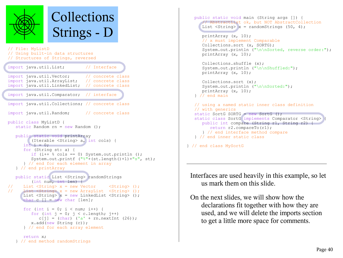

#### Collections Strings - D // File: MyListD // Using built-in data structures // Structures of Strings, reversed import java.util.List; // Interface import java.util.Vector; // concrete class import java.util.ArrayList; // concrete class import java.util.LinkedList; // concrete class import java.util.Comparator; // interface import java.util.Collections; // concrete class import java.util.Random; // concrete class public class MyListD { static Random rn = new Random (); public static void printArray (Iterable <String> a, int cols) { int  $i = 0$ ; for (String st: a) { if  $(i++$  % cols == 0) System.out.println (); System.out.printf ("%"+(st.length()+1)+"s", st); } // end for each element in array } // end printArray public static List <String> randomStrings (int num, int len) { // List  $\langle$ String> x = new Vector  $\langle$ String> (); // List <String> x = new ArrayList <String> (); List  $\langle$ String> x = new LinkedList  $\langle$ String> (); char c  $\lceil$  = new char  $\lceil$  len]; for (int i = 0; i < num; i++) { for (int  $j = 0$ ;  $j < c$ . length;  $j++)$  $c[j] = (char)$  ('a' + rn.nextInt (26)); x.add(new String (c)); } // end for each array element

```
 // AbstractList ok, but NOT AbstractCollection
      List \langleString> x = randomStrings (50, 4);
       printArray (x, 10);
       // x must implement Comparable
       Collections.sort (x, SORTG); 
      System.out.println ("\n\nSorted, reverse order:");
       printArray (x, 10);
       Collections.shuffle (x);
      System.out.println ("\n\nShuffled:");
       printArray (x, 10);
       Collections.sort (x);
      System.out.println ("\n\nSorted:");
       printArray (x, 10);
    } // end main
    // using a named static inner class definition
    // with generics
   static SortG SORTG = new SortG ();
   static class SortG implements Comparator <String>
       public int compare (String r1, String r2) {
          return r2.compareTo(r1);
       } // end interface method compare
    } // end inner static class
} // end class MySortG
```
public static void main (String args []) {

Interfaces are used heavily in this example, so let us mark them on this slide.

On the next slides, we will show how the declarations fit together with how they are used, and we will delete the imports section to get a little more space for comments.

```
 return x;
 } // end method randomStrings
```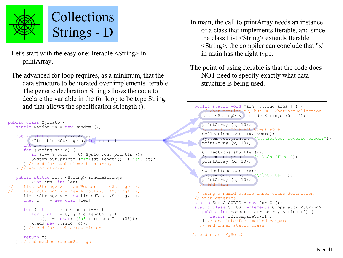

Let's start with the easy one: Iterable <String> in printArray.

The advanced for loop requires, as a minimum, that the data structure to be iterated over implements Iterable. The generic declaration String allows the code to declare the variable in the for loop to be type String, and that allows the specification st.length ().

```
public class MyListD {
   static Random rn = new Random ();
    public static void printArray 
          (Iterable <String> a, int cols) {
      int i = 0:
       for (String st: a) {
         if (i++ % cols == 0) System.out.println ();
         System.out.printf ("%"+(st.length() +1) + "s", st); } // end for each element in array
    } // end printArray
    public static List <String> randomStrings 
          (int num, int len) {
// List <String> x = new Vector <String> ();
// List \langleString> x = new ArrayList \langleString> ();
      List <String> x = new LinkedList <String> ();
      char c \lceil \rceil = new char \lceil \cdot \rceilfor (int i = 0; i < num; i++) {
         for (int j = 0; j < c. length; j++)c[j] = (char) ('a' + rn.nextInt (26));
          x.add(new String (c));
       } // end for each array element
       return x;
    } // end method randomStrings
```

```
In main, the call to printArray needs an instance 
    of a class that implements Iterable, and since 
    the class List <String> extends Iterable 
    <String>, the compiler can conclude that "x" 
    in main has the right type.
```

```
The point of using Iterable is that the code does 
   NOT need to specify exactly what data 
    structure is being used.
```

```
 public static void main (String args []) {
       // AbstractList ok, but NOT AbstractCollection
      List \langleString> x = randomStrings (50, 4);
       printArray (x, 10);
       // x must implement Comparable
       Collections.sort (x, SORTG); 
      System.out.println ("\n\nSorted, reverse order:");
       printArray (x, 10);
ſ
       Collections.shuffle (x);
      System.out.println ("\n\nShuffled:");
       printArray (x, 10);
V
       Collections.sort (x);
      System.out.println ("\n\nSorted:");
       printArray (x, 10);
     // end main
    // using a named static inner class definition
    // with generics
   static SortG SORTG = new SortG ();
   static class SortG implements Comparator <String> {
       public int compare (String r1, String r2) {
          return r2.compareTo(r1);
       } // end interface method compare
    } // end inner static class
```
} // end class MySortG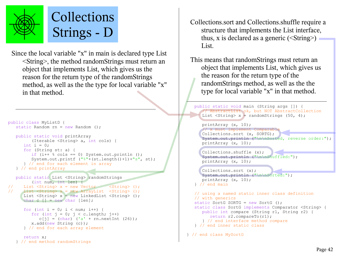

Since the local variable "x" in main is declared type List <String>, the method randomStrings must return an object that implements List, which gives us the reason for the return type of the randomStrings method, as well as the the type for local variable "x" in that method.

```
public class MyListD {
   static Random rn = new Random():
    public static void printArray 
          (Iterable <String> a, int cols) {
      int i = 0;
       for (String st: a) {
         if (i++ % cols == 0) System.out.println ();
          System.out.printf ("%"+(st.length()+1)+"s", st);
       } // end for each element in array
    } // end printArray
   public static List <String> randomStrings
          (int num, int len) {
// List <String> x = new Vector <String> ();
// List <String> x = new ArrayList <String> ();
      List \langleString> x = new LinkedList \langleString> ();
      char c \lceil \rceil = new char \lceil \ln \rceil;
      for (int i = 0; i < num; i++) {
         for (int j = 0; j < c. length; j++)c[j] = (char) ('a' + rn.nextInt (26));
          x.add(new String (c));
       } // end for each array element
```

```
 return x;
 } // end method randomStrings
```
- Collections.sort and Collections.shuffle require a structure that implements the List interface, thus, x is declared as a generic  $(\leq$ String $>$ ) List.
- This means that randomStrings must return an object that implements List, which gives us the reason for the return type of the randomStrings method, as well as the the type for local variable "x" in that method.

```
 public static void main (String args []) {
       // AbstractList ok, but NOT AbstractCollection
      List \langleString> x = randomStrings (50, 4);
       printArray (x, 10);
      // x must implement Comparable
       Collections.sort (x, SORTG); 
      System.out.println ("\n\nSorted, reverse order:");
       printArray (x, 10);
       Collections.shuffle (x);
       System.out.println ("\n\nShuffled:");
       printArray (x, 10);
       Collections.sort (x);
      System.out.println ("\n\nSorted:");
       printArray (x, 10);
    } // end main
    // using a named static inner class definition
    // with generics
    static SortG SORTG = new SortG ();
    static class SortG implements Comparator <String> {
       public int compare (String r1, String r2) {
          return r2.compareTo(r1);
       } // end interface method compare
    } // end inner static class
} // end class MySortG
```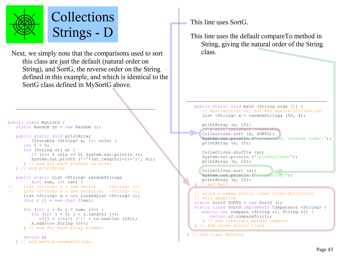

Next, we simply note that the comparisons used to sort class. this class are just the default (natural order on String), and SortG, the reverse order on the String defined in this example, and which is identical to the SortG class defined in MySortG above.

```
public class MyListD {
   static Random rn = new Random():
    public static void printArray 
          (Iterable <String> a, int cols) {
      int i = 0;
       for (String st: a) {
         if (i++ % cols == 0) System.out.println ();
          System.out.printf ("%"+(st.length()+1)+"s", st);
       } // end for each element in array
    } // end printArray
    public static List <String> randomStrings 
          (int num, int len) {
// List <String> x = new Vector <String> ();
// List <String> x = new ArrayList <String> ();
     List <String> x = new LinkedList <String> ();
      char c \lceil \rceil = new char \lceil \cdot \rceilfor (int i = 0; i < num; i++) {
         for (int j = 0; j < c. length; j++)c[j] = (char) ('a' + rn.nextInt (26));
          x.add(new String (c));
       } // end for each array element
```

```
 return x;
 } // end method randomStrings
```
This line uses SortG.

This line uses the default compareTo method in String, giving the natural order of the String

```
 public static void main (String args []) {
    // AbstractList ok, but NOT AbstractCollection
   List \langleString> x = randomStrings (50, 4);
```

```
 printArray (x, 10);
```

```
 // x must implement Comparable
 Collections.sort (x, SORTG); 
System.out.println ("\n\nSorted, reverse order:");
 printArray (x, 10);
```

```
 Collections.shuffle (x);
System.out.println ("\n\nShuffled:");
 printArray (x, 10);
```

```
 Collections.sort (x);
System.out.println ("\n\nSorted:");
 printArray (x, 10);
// end main
```

```
 // using a named static inner class definition
 // with generics
static SortG SORTG = new SortG ();
 static class SortG implements Comparator <String> {
    public int compare (String r1, String r2) {
       return r2.compareTo(r1);
    } // end interface method compare
 } // end inner static class
```

```
} // end class MySortG
```
ú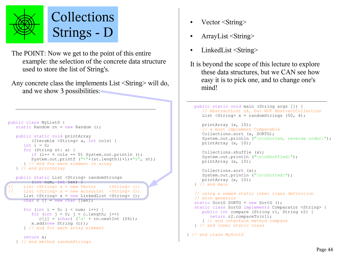

The POINT: Now we get to the point of this entire example: the selection of the concrete data structure used to store the list of String's.

Any concrete class the implements List <String> will do, and we show 3 possibilities:

```
public class MyListD {
   static Random rn = new Random ();
    public static void printArray 
           (Iterable <String> a, int cols) {
      int i = 0;
       for (String st: a) {
         if (i++ % cols == 0) System.out.println ();
         System.out.printf ("%"+(st.length() +1) + "s", st); } // end for each element in array
    } // end printArray
    public static List <String> randomStrings 
         (int num, int len) {
      List \langleString> x = new Vector \langleString> ();
      List \langleString> x = new ArrayList \langleString> ();
      List \langleString> x = new LinkedList \langleString> ();
      char c \lceil \rceil = new char \lceil \cdot \rceil:
      for (int i = 0; i < num; i++) {
          for (int j = 0; j < c. length; j++)c[j] = (char) ('a' + rn.nextInt (26));
          x.add(new String (c));
       } // end for each array element
       return x;
    } // end method randomStrings
```

```
Vector <String>
```
- ArrayList <String>
- LinkedList <String>

```
It is beyond the scope of this lecture to explore 
    these data structures, but we CAN see how 
    easy it is to pick one, and to change one's 
    mind!
```

```
 public static void main (String args []) {
       // AbstractList ok, but NOT AbstractCollection
      List \langleString> x = randomStrings (50, 4);
       printArray (x, 10);
       // x must implement Comparable
       Collections.sort (x, SORTG); 
      System.out.println ("\n\nSorted, reverse order:");
       printArray (x, 10);
       Collections.shuffle (x);
      System.out.println ("\n\nShuffled:");
       printArray (x, 10);
       Collections.sort (x);
      System.out.println ("\n\nSorted:");
       printArray (x, 10);
    } // end main
    // using a named static inner class definition
    // with generics
    static SortG SORTG = new SortG ();
    static class SortG implements Comparator <String> {
       public int compare (String r1, String r2) {
          return r2.compareTo(r1);
       } // end interface method compare
    } // end inner static class
} // end class MySortG
```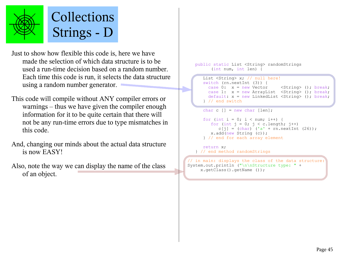

Just to show how flexible this code is, here we have made the selection of which data structure is to be used a run-time decision based on a random number. Each time this code is run, it selects the data structure using a random number generator.

This code will compile without ANY compiler errors or warnings – thus we have given the compiler enough information for it to be quite certain that there will not be any run-time errors due to type mismatches in this code.

And, changing our minds about the actual data structure is now EASY!

Also, note the way we can display the name of the class of an object.

#### public static List <String> randomStrings (int num, int len) {

```
List <String> x; // null here!
 switch (rn.nextInt (3)) {
  case 0: x = new Vector <String> (); break;
  case 1: x = new ArrayList <String> (); break;
   default: x = new LinkedList <String> (); break;
 } // end switch
```

```
for (int i = 0; i < num; i++) {
   for (int j = 0; j < c. length; j++)c[j] = (char) ('a' + rn.nextInt (26));
   x.add(new String (c));
 } // end for each array element
```
 return x; } // end method randomStrings

char c  $\lceil$  = new char  $\lceil$  len];

// in main: displays the class of the data structure: System.out.println ("\n\nStructure type: " + x.getClass().getName ());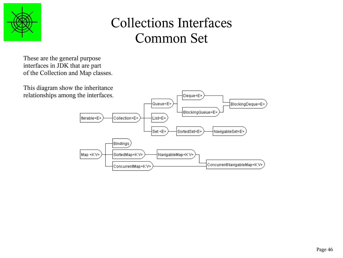

# Collections Interfaces Common Set

These are the general purpose interfaces in JDK that are part of the Collection and Map classes.

This diagram show the inheritance relationships among the interfaces.

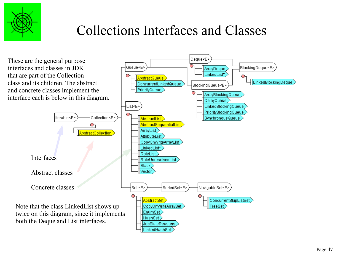

# Collections Interfaces and Classes

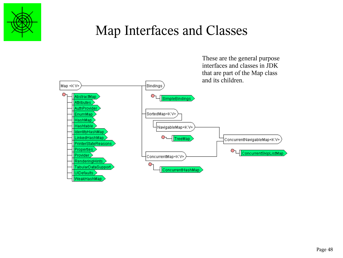

### Map Interfaces and Classes

These are the general purpose